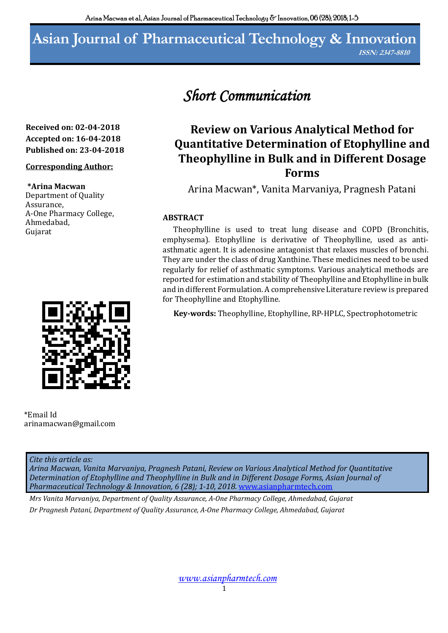# **Asian Journal of Pharmaceutical Technology & Innovation**

**ISSN: 2347-8810**

# **Received on: 02-04-2018 Accepted on: 16-04-2018 Published on: 23-04-2018**

# **Corresponding Author:**

#### **\*Arina Macwan**

Department of Quality Assurance, A-One Pharmacy College, Ahmedabad, Gujarat



\*Email Id arinamacwan@gmail.com

#### *Cite this article as:*

*Arina Macwan, Vanita Marvaniya, Pragnesh Patani, Review on Various Analytical Method for Quantitative Determination of Etophylline and Theophylline in Bulk and in Different Dosage Forms, Asian Journal of Pharmaceutical Technology & Innovation, 6 (28); 1-10, 2018.* www.asianpharmtech.com

*Mrs Vanita Marvaniya, Department of Quality Assurance, A-One Pharmacy College, Ahmedabad, Gujarat Dr Pragnesh Patani, Department of Quality Assurance, A-One Pharmacy College, Ahmedabad, Gujarat*

# *Short Communication*

# **Review on Various Analytical Method for Quantitative Determination of Etophylline and Theophylline in Bulk and in Different Dosage Forms**

Arina Macwan\*, Vanita Marvaniya, Pragnesh Patani

# **ABSTRACT**

Theophylline is used to treat lung disease and COPD (Bronchitis, emphysema). Etophylline is derivative of Theophylline, used as antiasthmatic agent. It is adenosine antagonist that relaxes muscles of bronchi. They are under the class of drug Xanthine. These medicines need to be used regularly for relief of asthmatic symptoms. Various analytical methods are reported for estimation and stability of Theophylline and Etophylline in bulk and in different Formulation. A comprehensive Literature review is prepared for Theophylline and Etophylline.

**Key-words:** Theophylline, Etophylline, RP-HPLC, Spectrophotometric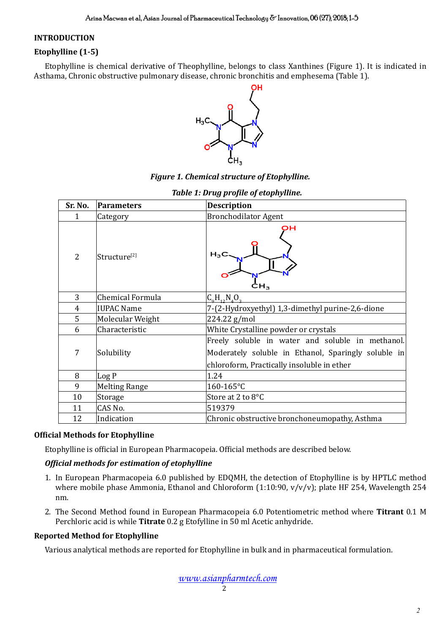#### **INTRODUCTION**

# **Etophylline (1-5)**

Etophylline is chemical derivative of Theophylline, belongs to class Xanthines (Figure 1). It is indicated in Asthama, Chronic obstructive pulmonary disease, chronic bronchitis and emphesema (Table 1).



# *Figure 1. Chemical structure of Etophylline.*

| Sr. No.        | <b>Parameters</b>        | <b>Description</b>                                                                                                                                    |
|----------------|--------------------------|-------------------------------------------------------------------------------------------------------------------------------------------------------|
| 1              | Category                 | <b>Bronchodilator Agent</b>                                                                                                                           |
| $\overline{2}$ | Structure <sup>[2]</sup> | он<br>$H_3$<br>CН,                                                                                                                                    |
| 3              | Chemical Formula         | $C_0H_{12}N_{4}O_{2}$                                                                                                                                 |
| $\overline{4}$ | <b>IUPAC Name</b>        | 7-(2-Hydroxyethyl) 1,3-dimethyl purine-2,6-dione                                                                                                      |
| 5              | Molecular Weight         | 224.22 g/mol                                                                                                                                          |
| 6              | Characteristic           | White Crystalline powder or crystals                                                                                                                  |
| 7              | Solubility               | Freely soluble in water and soluble in methanol.<br>Moderately soluble in Ethanol, Sparingly soluble in<br>chloroform, Practically insoluble in ether |
| 8              | Log P                    | 1.24                                                                                                                                                  |
| 9              | <b>Melting Range</b>     | 160-165°C                                                                                                                                             |
| 10             | Storage                  | Store at 2 to 8°C                                                                                                                                     |
| 11             | CAS No.                  | 519379                                                                                                                                                |
| 12             | Indication               | Chronic obstructive bronchoneumopathy, Asthma                                                                                                         |

# *Table 1: Drug profile of etophylline.*

#### **Official Methods for Etophylline**

Etophylline is official in European Pharmacopeia. Official methods are described below.

# *Official methods for estimation of etophylline*

- 1. In European Pharmacopeia 6.0 published by EDQMH, the detection of Etophylline is by HPTLC method where mobile phase Ammonia, Ethanol and Chloroform (1:10:90, v/v/v); plate HF 254, Wavelength 254 nm.
- 2. The Second Method found in European Pharmacopeia 6.0 Potentiometric method where **Titrant** 0.1 M Perchloric acid is while **Titrate** 0.2 g Etofylline in 50 ml Acetic anhydride.

#### **Reported Method for Etophylline**

Various analytical methods are reported for Etophylline in bulk and in pharmaceutical formulation.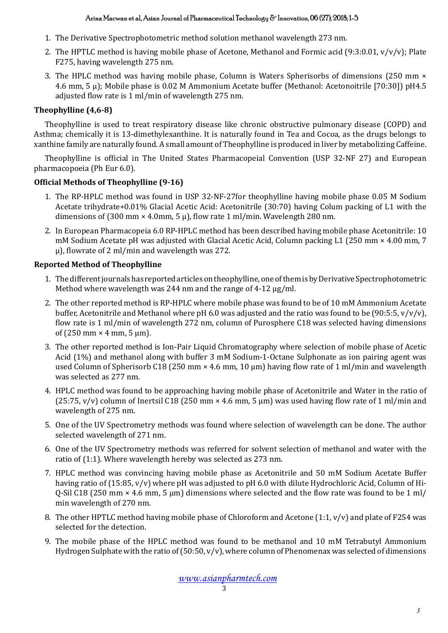- 1. The Derivative Spectrophotometric method solution methanol wavelength 273 nm.
- 2. The HPTLC method is having mobile phase of Acetone, Methanol and Formic acid (9:3:0.01,  $v/v/v$ ); Plate F275, having wavelength 275 nm.
- 3. The HPLC method was having mobile phase, Column is Waters Spherisorbs of dimensions (250 mm × 4.6 mm, 5 µ); Mobile phase is 0.02 M Ammonium Acetate buffer (Methanol: Acetonoitrile [70:30]) pH4.5 adjusted flow rate is 1 ml/min of wavelength 275 nm.

# **Theophylline (4,6-8)**

Theophylline is used to treat respiratory disease like chronic obstructive pulmonary disease (COPD) and Asthma; chemically it is 13-dimethylexanthine. It is naturally found in Tea and Cocoa, as the drugs belongs to xanthine family are naturally found. A small amount of Theophylline is produced in liver by metabolizing Caffeine.

Theophylline is official in The United States Pharmacopeial Convention (USP 32-NF 27) and European pharmacopoeia (Ph Eur 6.0).

# **Official Methods of Theophylline (9-16)**

- 1. The RP-HPLC method was found in USP 32-NF-27for theophylline having mobile phase 0.05 M Sodium Acetate trihydrate+0.01% Glacial Acetic Acid: Acetonitrile (30:70) having Colum packing of L1 with the dimensions of (300 mm  $\times$  4.0mm, 5  $\mu$ ), flow rate 1 ml/min. Wavelength 280 nm.
- 2. In European Pharmacopeia 6.0 RP-HPLC method has been described having mobile phase Acetonitrile: 10 mM Sodium Acetate pH was adjusted with Glacial Acetic Acid, Column packing L1 (250 mm × 4.00 mm, 7 µ), flowrate of 2 ml/min and wavelength was 272.

# **Reported Method of Theophylline**

- 1. The different journals has reported articles on theophylline, one of them is by Derivative Spectrophotometric Method where wavelength was 244 nm and the range of 4-12  $\mu$ g/ml.
- 2. The other reported method is RP-HPLC where mobile phase was found to be of 10 mM Ammonium Acetate buffer, Acetonitrile and Methanol where pH 6.0 was adjusted and the ratio was found to be (90:5:5,  $v/v/v$ ), flow rate is 1 ml/min of wavelength 272 nm, column of Purosphere C18 was selected having dimensions of (250 mm  $\times$  4 mm, 5 µm).
- 3. The other reported method is Ion-Pair Liquid Chromatography where selection of mobile phase of Acetic Acid (1%) and methanol along with buffer 3 mM Sodium-1-Octane Sulphonate as ion pairing agent was used Column of Spherisorb C18 (250 mm  $\times$  4.6 mm, 10 µm) having flow rate of 1 ml/min and wavelength was selected as 277 nm.
- 4. HPLC method was found to be approaching having mobile phase of Acetonitrile and Water in the ratio of (25:75, v/v) column of Inertsil C18 (250 mm  $\times$  4.6 mm, 5 µm) was used having flow rate of 1 ml/min and wavelength of 275 nm.
- 5. One of the UV Spectrometry methods was found where selection of wavelength can be done. The author selected wavelength of 271 nm.
- 6. One of the UV Spectrometry methods was referred for solvent selection of methanol and water with the ratio of (1:1). Where wavelength hereby was selected as 273 nm.
- 7. HPLC method was convincing having mobile phase as Acetonitrile and 50 mM Sodium Acetate Buffer having ratio of (15:85, v/v) where pH was adjusted to pH 6.0 with dilute Hydrochloric Acid, Column of Hi-Q-Sil C18 (250 mm  $\times$  4.6 mm, 5 µm) dimensions where selected and the flow rate was found to be 1 ml/ min wavelength of 270 nm.
- 8. The other HPTLC method having mobile phase of Chloroform and Acetone (1:1, v/v) and plate of F254 was selected for the detection.
- 9. The mobile phase of the HPLC method was found to be methanol and 10 mM Tetrabutyl Ammonium Hydrogen Sulphate with the ratio of  $(50.50, v/v)$ , where column of Phenomenax was selected of dimensions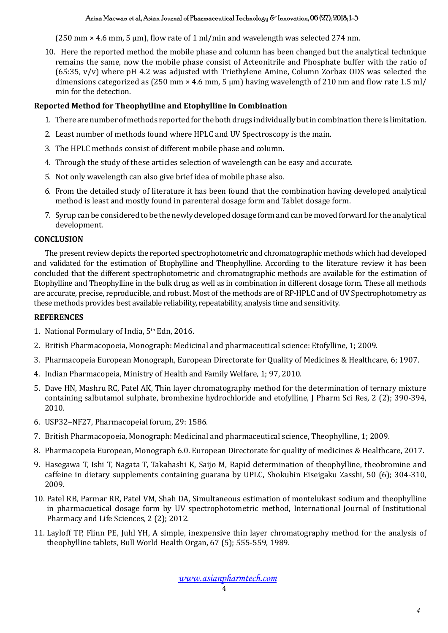#### Arina Macwan et al, Asian Journal of Pharmaceutical Technology & Innovation, 06 (27); 2018; 1-5

(250 mm  $\times$  4.6 mm, 5 µm), flow rate of 1 ml/min and wavelength was selected 274 nm.

10. Here the reported method the mobile phase and column has been changed but the analytical technique remains the same, now the mobile phase consist of Acteonitrile and Phosphate buffer with the ratio of (65:35, v/v) where pH 4.2 was adjusted with Triethylene Amine, Column Zorbax ODS was selected the dimensions categorized as  $(250 \text{ mm} \times 4.6 \text{ mm}, 5 \text{ \mu})$  having wavelength of 210 nm and flow rate 1.5 ml/ min for the detection.

# **Reported Method for Theophylline and Etophylline in Combination**

- 1. There are number of methods reported for the both drugs individually but in combination there is limitation.
- 2. Least number of methods found where HPLC and UV Spectroscopy is the main.
- 3. The HPLC methods consist of different mobile phase and column.
- 4. Through the study of these articles selection of wavelength can be easy and accurate.
- 5. Not only wavelength can also give brief idea of mobile phase also.
- 6. From the detailed study of literature it has been found that the combination having developed analytical method is least and mostly found in parenteral dosage form and Tablet dosage form.
- 7. Syrup can be considered to be the newly developed dosage form and can be moved forward for the analytical development.

#### **CONCLUSION**

The present review depicts the reported spectrophotometric and chromatographic methods which had developed and validated for the estimation of Etophylline and Theophylline. According to the literature review it has been concluded that the different spectrophotometric and chromatographic methods are available for the estimation of Etophylline and Theophylline in the bulk drug as well as in combination in different dosage form. These all methods are accurate, precise, reproducible, and robust. Most of the methods are of RP-HPLC and of UV Spectrophotometry as these methods provides best available reliability, repeatability, analysis time and sensitivity.

#### **REFERENCES**

- 1. National Formulary of India, 5<sup>th</sup> Edn, 2016.
- 2. British Pharmacopoeia, Monograph: Medicinal and pharmaceutical science: Etofylline, 1; 2009.
- 3. Pharmacopeia European Monograph, European Directorate for Quality of Medicines & Healthcare, 6; 1907.
- 4. Indian Pharmacopeia, Ministry of Health and Family Welfare, 1; 97, 2010.
- 5. Dave HN, Mashru RC, Patel AK, Thin layer chromatography method for the determination of ternary mixture containing salbutamol sulphate, bromhexine hydrochloride and etofylline, J Pharm Sci Res, 2 (2); 390-394, 2010.
- 6. USP32–NF27, Pharmacopeial forum, 29: 1586.
- 7. British Pharmacopoeia, Monograph: Medicinal and pharmaceutical science, Theophylline, 1; 2009.
- 8. Pharmacopeia European, Monograph 6.0. European Directorate for quality of medicines & Healthcare, 2017.
- 9. Hasegawa T, Ishi T, Nagata T, Takahashi K, Saijo M, Rapid determination of theophylline, theobromine and caffeine in dietary supplements containing guarana by UPLC, Shokuhin Eiseigaku Zasshi, 50 (6); 304-310, 2009.
- 10. Patel RB, Parmar RR, Patel VM, Shah DA, Simultaneous estimation of montelukast sodium and theophylline in pharmacuetical dosage form by UV spectrophotometric method, International Journal of Institutional Pharmacy and Life Sciences, 2 (2); 2012.
- 11. Layloff TP, Flinn PE, Juhl YH, A simple, inexpensive thin layer chromatography method for the analysis of theophylline tablets, Bull World Health Organ, 67 (5); 555-559, 1989.